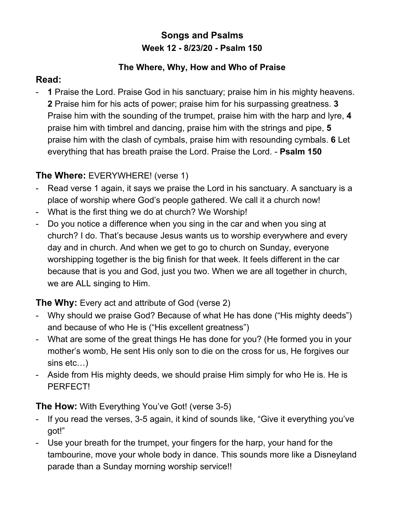# **Songs and Psalms Week 12 - 8/23/20 - Psalm 150**

#### **The Where, Why, How and Who of Praise**

### **Read:**

- **1** Praise the Lord. Praise God in his sanctuary; praise him in his mighty heavens. **2** Praise him for his acts of power; praise him for his surpassing greatness. **3** Praise him with the sounding of the trumpet, praise him with the harp and lyre, **4** praise him with timbrel and dancing, praise him with the strings and pipe, **5** praise him with the clash of cymbals, praise him with resounding cymbals. **6** Let everything that has breath praise the Lord. Praise the Lord. - **Psalm 150**

# **The Where:** EVERYWHERE! (verse 1)

- Read verse 1 again, it says we praise the Lord in his sanctuary. A sanctuary is a place of worship where God's people gathered. We call it a church now!
- What is the first thing we do at church? We Worship!
- Do you notice a difference when you sing in the car and when you sing at church? I do. That's because Jesus wants us to worship everywhere and every day and in church. And when we get to go to church on Sunday, everyone worshipping together is the big finish for that week. It feels different in the car because that is you and God, just you two. When we are all together in church, we are ALL singing to Him.

## **The Why:** Every act and attribute of God (verse 2)

- Why should we praise God? Because of what He has done ("His mighty deeds") and because of who He is ("His excellent greatness")
- What are some of the great things He has done for you? (He formed you in your mother's womb, He sent His only son to die on the cross for us, He forgives our sins etc…)
- Aside from His mighty deeds, we should praise Him simply for who He is. He is PERFECT!

## **The How:** With Everything You've Got! (verse 3-5)

- If you read the verses, 3-5 again, it kind of sounds like, "Give it everything you've got!"
- Use your breath for the trumpet, your fingers for the harp, your hand for the tambourine, move your whole body in dance. This sounds more like a Disneyland parade than a Sunday morning worship service!!